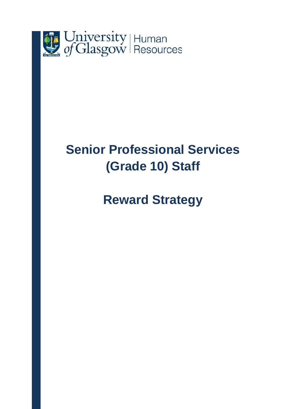

# **Senior Professional Services (Grade 10) Staff**

# **Reward Strategy**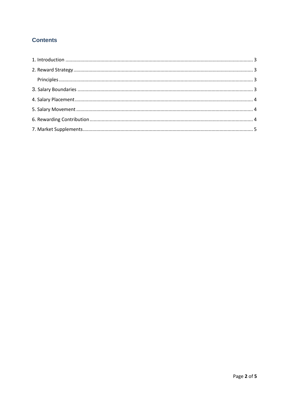# **Contents**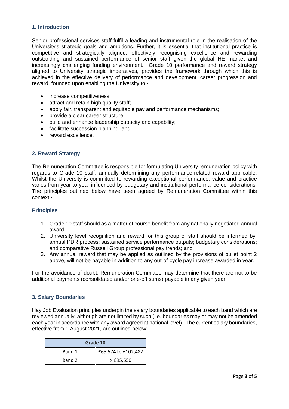### <span id="page-2-0"></span>**1. Introduction**

Senior professional services staff fulfil a leading and instrumental role in the realisation of the University's strategic goals and ambitions. Further, it is essential that institutional practice is competitive and strategically aligned, effectively recognising excellence and rewarding outstanding and sustained performance of senior staff given the global HE market and increasingly challenging funding environment. Grade 10 performance and reward strategy aligned to University strategic imperatives, provides the framework through which this is achieved in the effective delivery of performance and development, career progression and reward, founded upon enabling the University to:-

- increase competitiveness;
- attract and retain high quality staff;
- apply fair, transparent and equitable pay and performance mechanisms;
- provide a clear career structure;
- build and enhance leadership capacity and capability;
- facilitate succession planning; and
- reward excellence.

#### <span id="page-2-1"></span>**2. Reward Strategy**

The Remuneration Committee is responsible for formulating University remuneration policy with regards to Grade 10 staff, annually determining any performance-related reward applicable. Whilst the University is committed to rewarding exceptional performance, value and practice varies from year to year influenced by budgetary and institutional performance considerations. The principles outlined below have been agreed by Remuneration Committee within this context:-

# <span id="page-2-2"></span>**Principles**

- 1. Grade 10 staff should as a matter of course benefit from any nationally negotiated annual award.
- 2. University level recognition and reward for this group of staff should be informed by: annual PDR process; sustained service performance outputs; budgetary considerations; and comparative Russell Group professional pay trends; and
- 3. Any annual reward that may be applied as outlined by the provisions of bullet point 2 above, will not be payable in addition to any out-of-cycle pay increase awarded in year.

For the avoidance of doubt, Remuneration Committee may determine that there are not to be additional payments (consolidated and/or one-off sums) payable in any given year.

# <span id="page-2-3"></span>**3. Salary Boundaries**

Hay Job Evaluation principles underpin the salary boundaries applicable to each band which are reviewed annually, although are not limited by such (i.e. boundaries may or may not be amended each year in accordance with any award agreed at national level). The current salary boundaries, effective from 1 August 2021, are outlined below:

| Grade 10 |                     |  |
|----------|---------------------|--|
| Band 1   | £65,574 to £102,482 |  |
| Band 2   | $>$ £95,650         |  |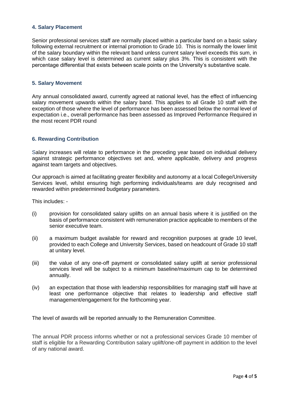### <span id="page-3-0"></span>**4. Salary Placement**

Senior professional services staff are normally placed within a particular band on a basic salary following external recruitment or internal promotion to Grade 10. This is normally the lower limit of the salary boundary within the relevant band unless current salary level exceeds this sum, in which case salary level is determined as current salary plus 3%. This is consistent with the percentage differential that exists between scale points on the University's substantive scale.

#### <span id="page-3-1"></span>**5. Salary Movement**

Any annual consolidated award, currently agreed at national level, has the effect of influencing salary movement upwards within the salary band. This applies to all Grade 10 staff with the exception of those where the level of performance has been assessed below the normal level of expectation i.e., overall performance has been assessed as Improved Performance Required in the most recent PDR round

#### <span id="page-3-2"></span>**6. Rewarding Contribution**

Salary increases will relate to performance in the preceding year based on individual delivery against strategic performance objectives set and, where applicable, delivery and progress against team targets and objectives.

Our approach is aimed at facilitating greater flexibility and autonomy at a local College/University Services level, whilst ensuring high performing individuals/teams are duly recognised and rewarded within predetermined budgetary parameters.

This includes: -

- (i) provision for consolidated salary uplifts on an annual basis where it is justified on the basis of performance consistent with remuneration practice applicable to members of the senior executive team.
- (ii) a maximum budget available for reward and recognition purposes at grade 10 level, provided to each College and University Services, based on headcount of Grade 10 staff at unitary level.
- (iii) the value of any one-off payment or consolidated salary uplift at senior professional services level will be subject to a minimum baseline/maximum cap to be determined annually.
- (iv) an expectation that those with leadership responsibilities for managing staff will have at least one performance objective that relates to leadership and effective staff management/engagement for the forthcoming year.

The level of awards will be reported annually to the Remuneration Committee.

The annual PDR process informs whether or not a professional services Grade 10 member of staff is eligible for a Rewarding Contribution salary uplift/one-off payment in addition to the level of any national award.